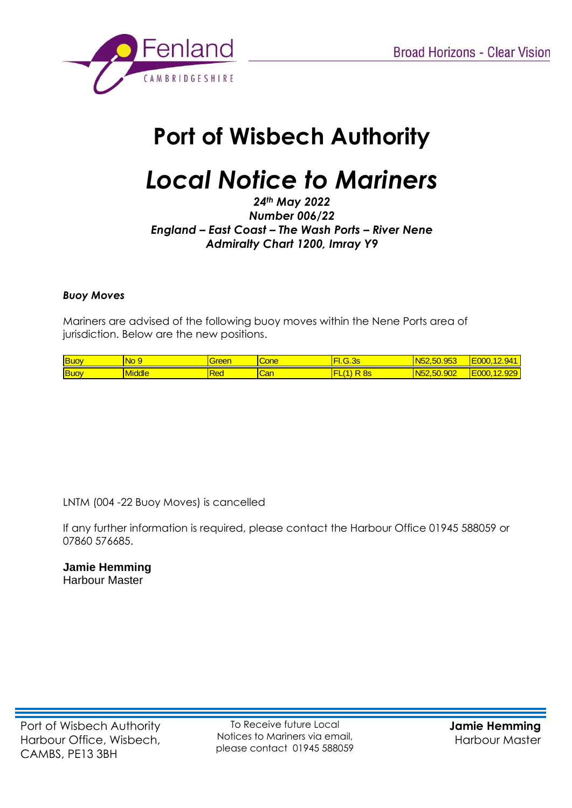

## **Port of Wisbech Authority**

## *Local Notice to Mariners*

*24th May 2022 Number 006/22 England – East Coast – The Wash Ports – River Nene Admiralty Chart 1200, Imray Y9*

## *Buoy Moves*

Mariners are advised of the following buoy moves within the Nene Ports area of jurisdiction. Below are the new positions.

| Buoy | -        | roo<br>$\sim$              | one             |        | $\sim$ $ \sim$<br>N   | -<br>$\sim$<br>. .<br><u>.</u>                   |
|------|----------|----------------------------|-----------------|--------|-----------------------|--------------------------------------------------|
| Buoy | אור<br>w | <b>D</b> <sub>o</sub><br>℡ | <b>SOF</b><br>ں | $\sim$ | $\sim$<br>N<br>JU.JUZ | -<br>$\overline{\phantom{a}}$<br>- -<br><u>.</u> |

LNTM (004 -22 Buoy Moves) is cancelled

If any further information is required, please contact the Harbour Office 01945 588059 or 07860 576685.

## **Jamie Hemming** Harbour Master

To Receive future Local Notices to Mariners via email, please contact 01945 588059 **Jamie Hemming** Harbour Master